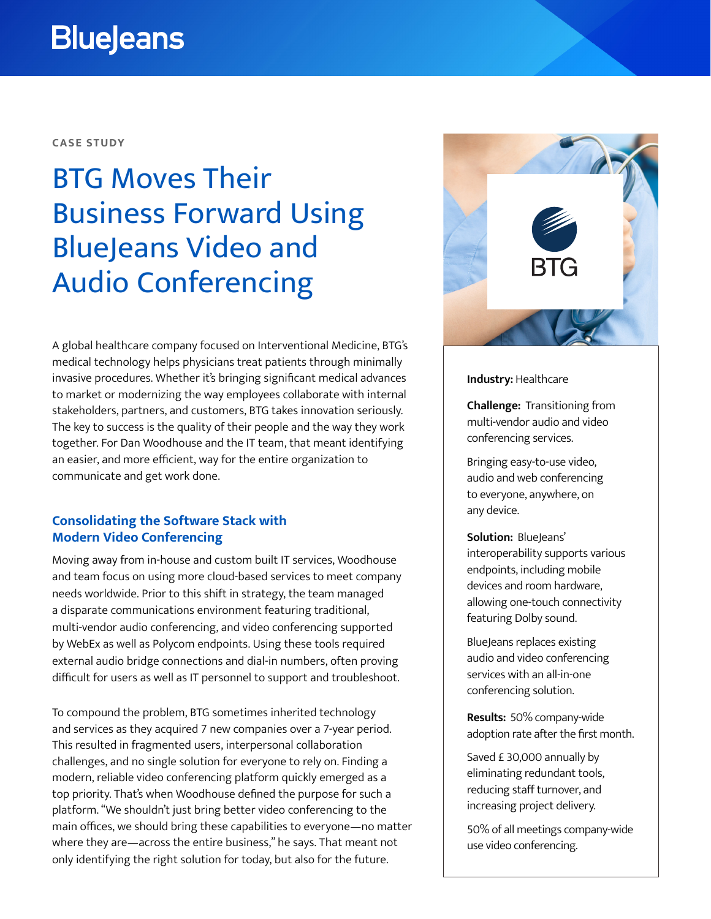# **BlueJeans**

**CASE STUDY**

# BTG Moves Their Business Forward Using BlueJeans Video and Audio Conferencing

A global healthcare company focused on Interventional Medicine, BTG's medical technology helps physicians treat patients through minimally invasive procedures. Whether it's bringing significant medical advances to market or modernizing the way employees collaborate with internal stakeholders, partners, and customers, BTG takes innovation seriously. The key to success is the quality of their people and the way they work together. For Dan Woodhouse and the IT team, that meant identifying an easier, and more efficient, way for the entire organization to communicate and get work done.

### **Consolidating the Software Stack with Modern Video Conferencing**

Moving away from in-house and custom built IT services, Woodhouse and team focus on using more cloud-based services to meet company needs worldwide. Prior to this shift in strategy, the team managed a disparate communications environment featuring traditional, multi-vendor audio conferencing, and video conferencing supported by WebEx as well as Polycom endpoints. Using these tools required external audio bridge connections and dial-in numbers, often proving difficult for users as well as IT personnel to support and troubleshoot.

To compound the problem, BTG sometimes inherited technology and services as they acquired 7 new companies over a 7-year period. This resulted in fragmented users, interpersonal collaboration challenges, and no single solution for everyone to rely on. Finding a modern, reliable video conferencing platform quickly emerged as a top priority. That's when Woodhouse defined the purpose for such a platform. "We shouldn't just bring better video conferencing to the main offices, we should bring these capabilities to everyone—no matter where they are—across the entire business," he says. That meant not only identifying the right solution for today, but also for the future.



### **Industry:** Healthcare

**Challenge:** Transitioning from multi-vendor audio and video conferencing services.

Bringing easy-to-use video, audio and web conferencing to everyone, anywhere, on any device.

**Solution:** BlueJeans' interoperability supports various endpoints, including mobile devices and room hardware, allowing one-touch connectivity featuring Dolby sound.

BlueJeans replaces existing audio and video conferencing services with an all-in-one conferencing solution.

**Results:** 50% company-wide adoption rate after the first month.

Saved £ 30,000 annually by eliminating redundant tools, reducing staff turnover, and increasing project delivery.

50% of all meetings company-wide use video conferencing.